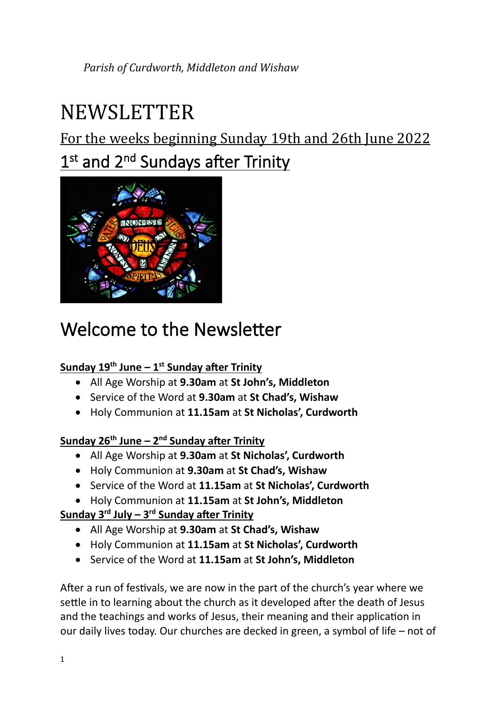# NEWSLETTER

For the weeks beginning Sunday 19th and 26th June 2022

# 1<sup>st</sup> and 2<sup>nd</sup> Sundays after Trinity



# Welcome to the Newsletter

#### **Sunday 19th June – 1 st Sunday after Trinity**

- All Age Worship at **9.30am** at **St John's, Middleton**
- Service of the Word at **9.30am** at **St Chad's, Wishaw**
- Holy Communion at **11.15am** at **St Nicholas', Curdworth**

#### **Sunday 26th June – 2 nd Sunday after Trinity**

- All Age Worship at **9.30am** at **St Nicholas', Curdworth**
- Holy Communion at **9.30am** at **St Chad's, Wishaw**
- Service of the Word at **11.15am** at **St Nicholas', Curdworth**
- Holy Communion at **11.15am** at **St John's, Middleton**

#### **Sunday 3rd July – 3 rd Sunday after Trinity**

- All Age Worship at **9.30am** at **St Chad's, Wishaw**
- Holy Communion at **11.15am** at **St Nicholas', Curdworth**
- Service of the Word at **11.15am** at **St John's, Middleton**

After a run of festivals, we are now in the part of the church's year where we settle in to learning about the church as it developed after the death of Jesus and the teachings and works of Jesus, their meaning and their application in our daily lives today. Our churches are decked in green, a symbol of life – not of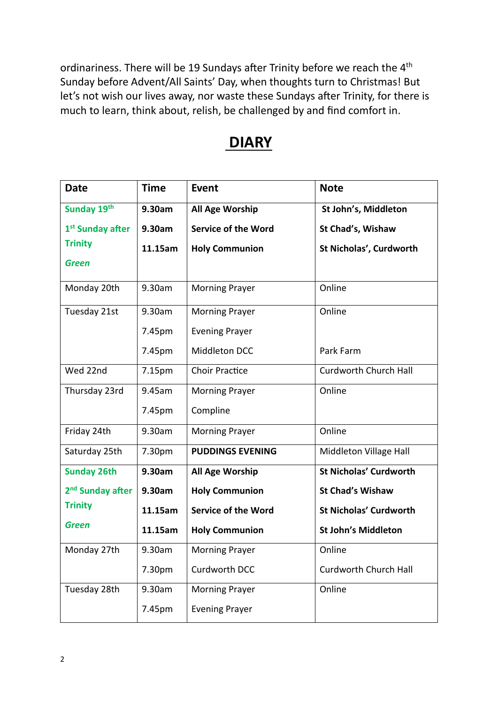ordinariness. There will be 19 Sundays after Trinity before we reach the 4<sup>th</sup> Sunday before Advent/All Saints' Day, when thoughts turn to Christmas! But let's not wish our lives away, nor waste these Sundays after Trinity, for there is much to learn, think about, relish, be challenged by and find comfort in.

# **DIARY**

| <b>Date</b>                  | <b>Time</b>        | <b>Event</b>               | <b>Note</b>                   |
|------------------------------|--------------------|----------------------------|-------------------------------|
| Sunday 19th                  | 9.30am             | All Age Worship            | St John's, Middleton          |
| 1 <sup>st</sup> Sunday after | 9.30am             | <b>Service of the Word</b> | St Chad's, Wishaw             |
| <b>Trinity</b>               | 11.15am            | <b>Holy Communion</b>      | St Nicholas', Curdworth       |
| <b>Green</b>                 |                    |                            |                               |
| Monday 20th                  | 9.30am             | <b>Morning Prayer</b>      | Online                        |
| Tuesday 21st                 | 9.30am             | <b>Morning Prayer</b>      | Online                        |
|                              | 7.45pm             | <b>Evening Prayer</b>      |                               |
|                              | 7.45pm             | Middleton DCC              | Park Farm                     |
| Wed 22nd                     | 7.15 <sub>pm</sub> | <b>Choir Practice</b>      | Curdworth Church Hall         |
| Thursday 23rd                | 9.45am             | <b>Morning Prayer</b>      | Online                        |
|                              | 7.45pm             | Compline                   |                               |
| Friday 24th                  | 9.30am             | <b>Morning Prayer</b>      | Online                        |
| Saturday 25th                | 7.30pm             | <b>PUDDINGS EVENING</b>    | Middleton Village Hall        |
| <b>Sunday 26th</b>           | 9.30am             | All Age Worship            | <b>St Nicholas' Curdworth</b> |
| 2 <sup>nd</sup> Sunday after | 9.30am             | <b>Holy Communion</b>      | <b>St Chad's Wishaw</b>       |
| <b>Trinity</b>               | 11.15am            | <b>Service of the Word</b> | <b>St Nicholas' Curdworth</b> |
| Green                        | 11.15am            | <b>Holy Communion</b>      | <b>St John's Middleton</b>    |
| Monday 27th                  | 9.30am             | <b>Morning Prayer</b>      | Online                        |
|                              | 7.30pm             | Curdworth DCC              | <b>Curdworth Church Hall</b>  |
| Tuesday 28th                 | 9.30am             | <b>Morning Prayer</b>      | Online                        |
|                              | 7.45pm             | <b>Evening Prayer</b>      |                               |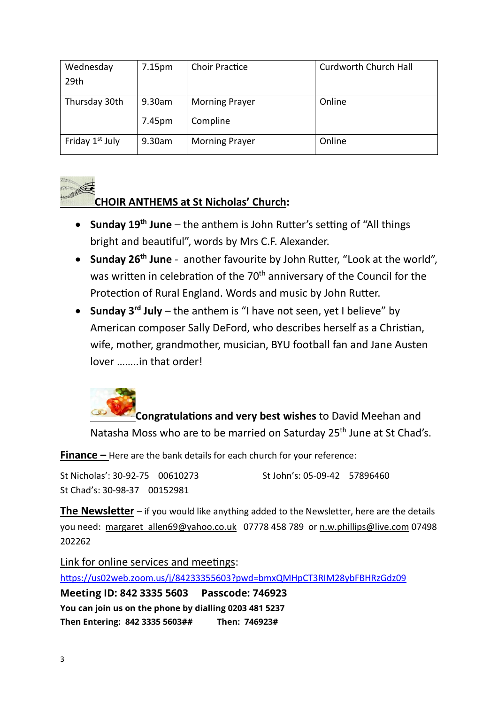| Wednesday                   | 7.15 <sub>pm</sub> | <b>Choir Practice</b> | Curdworth Church Hall |
|-----------------------------|--------------------|-----------------------|-----------------------|
| 29th                        |                    |                       |                       |
| Thursday 30th               | 9.30am             | <b>Morning Prayer</b> | Online                |
|                             | 7.45pm             | Compline              |                       |
| Friday 1 <sup>st</sup> July | 9.30am             | <b>Morning Prayer</b> | Online                |



#### **CHOIR ANTHEMS at St Nicholas' Church:**

- **Sunday 19th June**  the anthem is John Rutter's setting of "All things bright and beautiful", words by Mrs C.F. Alexander.
- **Sunday 26th June**  another favourite by John Rutter, "Look at the world", was written in celebration of the 70<sup>th</sup> anniversary of the Council for the Protection of Rural England. Words and music by John Rutter.
- **Sunday 3rd July** the anthem is "I have not seen, yet I believe" by American composer Sally DeFord, who describes herself as a Christian, wife, mother, grandmother, musician, BYU football fan and Jane Austen lover ……..in that order!

**Congratulations and very best wishes** to David Meehan and Natasha Moss who are to be married on Saturday 25<sup>th</sup> June at St Chad's.

**Finance –** Here are the bank details for each church for your reference:

St Nicholas': 30-92-75 00610273 St John's: 05-09-42 57896460 St Chad's: 30-98-37 00152981

**The Newsletter** – if you would like anything added to the Newsletter, here are the details you need: [margaret\\_allen69@yahoo.co.uk](mailto:margaret_allen69@yahoo.co.uk) 07778 458 789 or [n.w.phillips@live.com](mailto:n.w.phillips@live.com) 07498 202262

Link for online services and meetings:

<https://us02web.zoom.us/j/84233355603?pwd=bmxQMHpCT3RIM28ybFBHRzGdz09>

**Meeting ID: 842 3335 5603 Passcode: 746923** **You can join us on the phone by dialling 0203 481 5237**

**Then Entering: 842 3335 5603## Then: 746923#**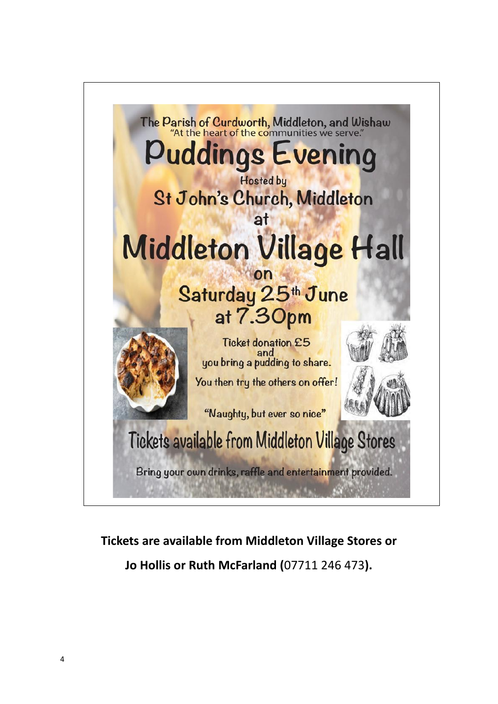

# **Tickets are available from Middleton Village Stores or Jo Hollis or Ruth McFarland (**07711 246 473**).**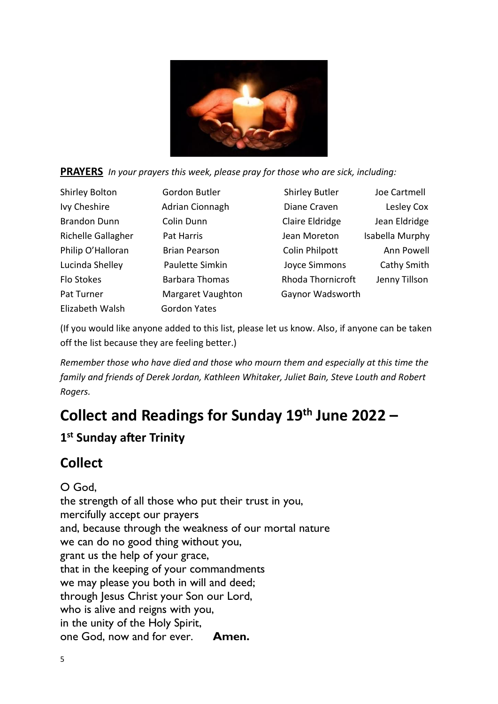



| <b>Shirley Bolton</b> | Gordon Butler         | <b>Shirley Butler</b>    | Joe Cartmell    |
|-----------------------|-----------------------|--------------------------|-----------------|
| Ivy Cheshire          | Adrian Cionnagh       | Diane Craven             | Lesley Cox      |
| <b>Brandon Dunn</b>   | Colin Dunn            | Claire Eldridge          | Jean Eldridge   |
| Richelle Gallagher    | Pat Harris            | Jean Moreton             | Isabella Murphy |
| Philip O'Halloran     | <b>Brian Pearson</b>  | <b>Colin Philpott</b>    | Ann Powell      |
| Lucinda Shelley       | Paulette Simkin       | Joyce Simmons            | Cathy Smith     |
| Flo Stokes            | <b>Barbara Thomas</b> | <b>Rhoda Thornicroft</b> | Jenny Tillson   |
| Pat Turner            | Margaret Vaughton     | Gaynor Wadsworth         |                 |
| Elizabeth Walsh       | Gordon Yates          |                          |                 |

(If you would like anyone added to this list, please let us know. Also, if anyone can be taken off the list because they are feeling better.)

*Remember those who have died and those who mourn them and especially at this time the family and friends of Derek Jordan, Kathleen Whitaker, Juliet Bain, Steve Louth and Robert Rogers.*

# **Collect and Readings for Sunday 19th June 2022 –**

### **1 st Sunday after Trinity**

# **Collect**

O God, the strength of all those who put their trust in you, mercifully accept our prayers and, because through the weakness of our mortal nature we can do no good thing without you, grant us the help of your grace, that in the keeping of your commandments we may please you both in will and deed; through Jesus Christ your Son our Lord, who is alive and reigns with you, in the unity of the Holy Spirit, one God, now and for ever. **Amen.**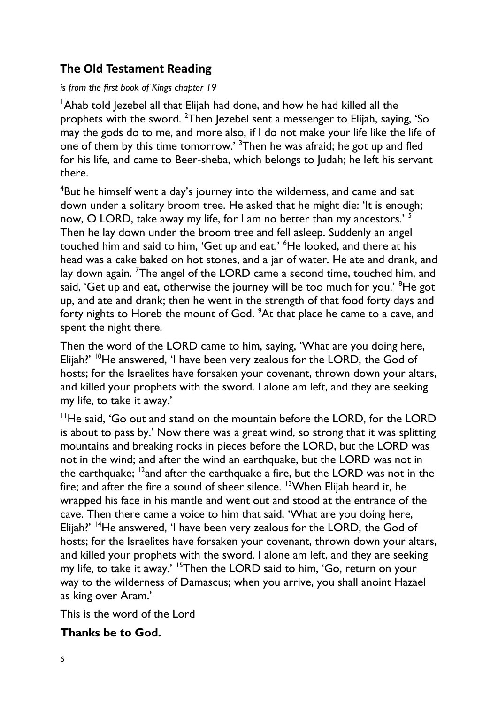### **The Old Testament Reading**

#### *is from the first book of Kings chapter 19*

<sup>1</sup>Ahab told Jezebel all that Elijah had done, and how he had killed all the prophets with the sword. <sup>2</sup>Then Jezebel sent a messenger to Elijah, saying, 'So may the gods do to me, and more also, if I do not make your life like the life of one of them by this time tomorrow.' <sup>3</sup>Then he was afraid; he got up and fled for his life, and came to Beer-sheba, which belongs to Judah; he left his servant there.

<sup>4</sup>But he himself went a day's journey into the wilderness, and came and sat down under a solitary broom tree. He asked that he might die: 'It is enough; now, O LORD, take away my life, for I am no better than my ancestors.' <sup>5</sup> Then he lay down under the broom tree and fell asleep. Suddenly an angel touched him and said to him, 'Get up and eat.' <sup>6</sup>He looked, and there at his head was a cake baked on hot stones, and a jar of water. He ate and drank, and lay down again. <sup>7</sup>The angel of the LORD came a second time, touched him, and said, 'Get up and eat, otherwise the journey will be too much for you.' <sup>8</sup>He got up, and ate and drank; then he went in the strength of that food forty days and forty nights to Horeb the mount of God. <sup>9</sup>At that place he came to a cave, and spent the night there.

Then the word of the LORD came to him, saying, 'What are you doing here, Elijah?' <sup>10</sup>He answered, 'I have been very zealous for the LORD, the God of hosts; for the Israelites have forsaken your covenant, thrown down your altars, and killed your prophets with the sword. I alone am left, and they are seeking my life, to take it away.'

<sup>11</sup>He said, 'Go out and stand on the mountain before the LORD, for the LORD is about to pass by.' Now there was a great wind, so strong that it was splitting mountains and breaking rocks in pieces before the LORD, but the LORD was not in the wind; and after the wind an earthquake, but the LORD was not in the earthquake; <sup>12</sup>and after the earthquake a fire, but the LORD was not in the fire; and after the fire a sound of sheer silence. <sup>13</sup>When Elijah heard it, he wrapped his face in his mantle and went out and stood at the entrance of the cave. Then there came a voice to him that said, 'What are you doing here, Elijah?' <sup>14</sup>He answered, 'I have been very zealous for the LORD, the God of hosts; for the Israelites have forsaken your covenant, thrown down your altars, and killed your prophets with the sword. I alone am left, and they are seeking my life, to take it away.' <sup>15</sup>Then the LORD said to him, 'Go, return on your way to the wilderness of Damascus; when you arrive, you shall anoint Hazael as king over Aram.'

This is the word of the Lord

#### **Thanks be to God.**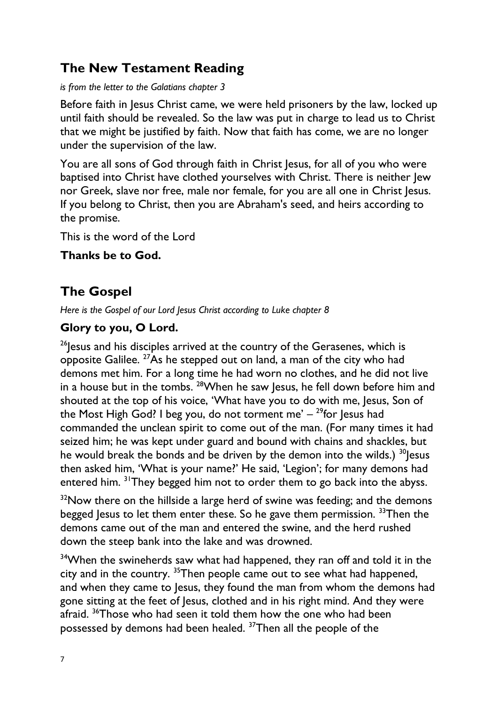# **The New Testament Reading**

*is from the letter to the Galatians chapter 3*

Before faith in Jesus Christ came, we were held prisoners by the law, locked up until faith should be revealed. So the law was put in charge to lead us to Christ that we might be justified by faith. Now that faith has come, we are no longer under the supervision of the law.

You are all sons of God through faith in Christ Jesus, for all of you who were baptised into Christ have clothed yourselves with Christ. There is neither Jew nor Greek, slave nor free, male nor female, for you are all one in Christ Jesus. If you belong to Christ, then you are Abraham's seed, and heirs according to the promise.

This is the word of the Lord

**Thanks be to God.**

# **The Gospel**

*Here is the Gospel of our Lord Jesus Christ according to Luke chapter 8*

### **Glory to you, O Lord.**

 $26$  esus and his disciples arrived at the country of the Gerasenes, which is opposite Galilee.  $27$ As he stepped out on land, a man of the city who had demons met him. For a long time he had worn no clothes, and he did not live in a house but in the tombs. <sup>28</sup>When he saw Jesus, he fell down before him and shouted at the top of his voice, 'What have you to do with me, Jesus, Son of the Most High God? I beg you, do not torment me'  $-$  <sup>29</sup>for Jesus had commanded the unclean spirit to come out of the man. (For many times it had seized him; he was kept under guard and bound with chains and shackles, but he would break the bonds and be driven by the demon into the wilds.)  $30$  lesus then asked him, 'What is your name?' He said, 'Legion'; for many demons had entered him. <sup>31</sup>They begged him not to order them to go back into the abyss.

 $32$ Now there on the hillside a large herd of swine was feeding; and the demons begged Jesus to let them enter these. So he gave them permission. <sup>33</sup>Then the demons came out of the man and entered the swine, and the herd rushed down the steep bank into the lake and was drowned.

<sup>34</sup>When the swineherds saw what had happened, they ran off and told it in the city and in the country. <sup>35</sup>Then people came out to see what had happened, and when they came to Jesus, they found the man from whom the demons had gone sitting at the feet of Jesus, clothed and in his right mind. And they were afraid. <sup>36</sup>Those who had seen it told them how the one who had been possessed by demons had been healed. 37Then all the people of the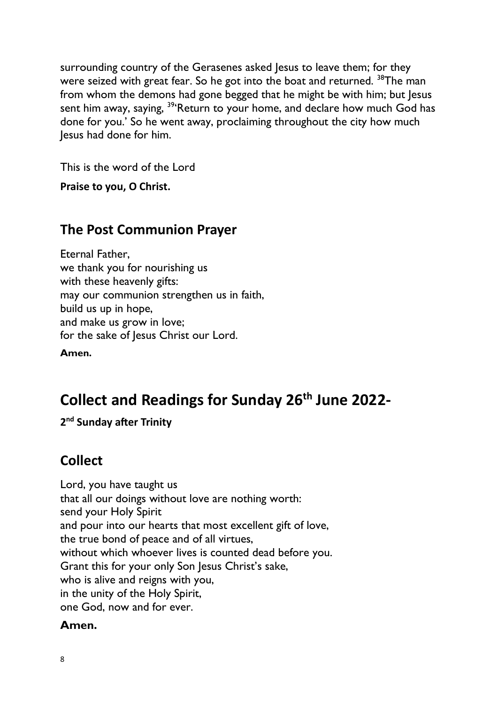surrounding country of the Gerasenes asked Jesus to leave them; for they were seized with great fear. So he got into the boat and returned. <sup>38</sup>The man from whom the demons had gone begged that he might be with him; but Jesus sent him away, saying, <sup>39</sup>'Return to your home, and declare how much God has done for you.' So he went away, proclaiming throughout the city how much Jesus had done for him.

This is the word of the Lord

**Praise to you, O Christ.** 

# **The Post Communion Prayer**

Eternal Father, we thank you for nourishing us with these heavenly gifts: may our communion strengthen us in faith, build us up in hope, and make us grow in love; for the sake of Jesus Christ our Lord.

**Amen.**

# **Collect and Readings for Sunday 26th June 2022-**

**2 nd Sunday after Trinity**

# **Collect**

Lord, you have taught us that all our doings without love are nothing worth: send your Holy Spirit and pour into our hearts that most excellent gift of love, the true bond of peace and of all virtues, without which whoever lives is counted dead before you. Grant this for your only Son Jesus Christ's sake, who is alive and reigns with you, in the unity of the Holy Spirit, one God, now and for ever.

#### **Amen.**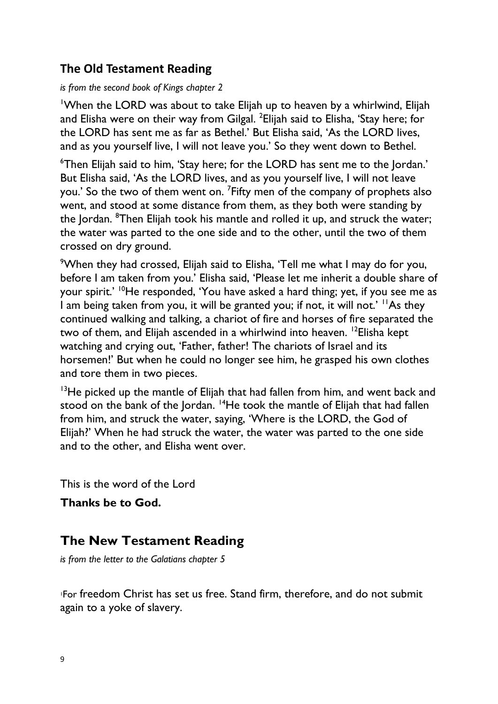### **The Old Testament Reading**

#### *is from the second book of Kings chapter 2*

<sup>1</sup>When the LORD was about to take Elijah up to heaven by a whirlwind, Elijah and Elisha were on their way from Gilgal. <sup>2</sup>Elijah said to Elisha, 'Stay here; for the LORD has sent me as far as Bethel.' But Elisha said, 'As the LORD lives, and as you yourself live, I will not leave you.' So they went down to Bethel.

<sup>6</sup>Then Elijah said to him, 'Stay here; for the LORD has sent me to the Jordan.' But Elisha said, 'As the LORD lives, and as you yourself live, I will not leave you.' So the two of them went on. <sup>7</sup> Fifty men of the company of prophets also went, and stood at some distance from them, as they both were standing by the Jordan. <sup>8</sup>Then Elijah took his mantle and rolled it up, and struck the water; the water was parted to the one side and to the other, until the two of them crossed on dry ground.

<sup>9</sup>When they had crossed, Elijah said to Elisha, 'Tell me what I may do for you, before I am taken from you.' Elisha said, 'Please let me inherit a double share of your spirit.' <sup>10</sup>He responded, 'You have asked a hard thing; yet, if you see me as I am being taken from you, it will be granted you; if not, it will not.' <sup>11</sup>As they continued walking and talking, a chariot of fire and horses of fire separated the two of them, and Elijah ascended in a whirlwind into heaven. <sup>12</sup>Elisha kept watching and crying out, 'Father, father! The chariots of Israel and its horsemen!' But when he could no longer see him, he grasped his own clothes and tore them in two pieces.

 $13$ He picked up the mantle of Elijah that had fallen from him, and went back and stood on the bank of the Jordan.  $14$ He took the mantle of Elijah that had fallen from him, and struck the water, saying, 'Where is the LORD, the God of Elijah?' When he had struck the water, the water was parted to the one side and to the other, and Elisha went over.

This is the word of the Lord

**Thanks be to God.**

# **The New Testament Reading**

*is from the letter to the Galatians chapter 5*

<sup>1</sup>For freedom Christ has set us free. Stand firm, therefore, and do not submit again to a yoke of slavery.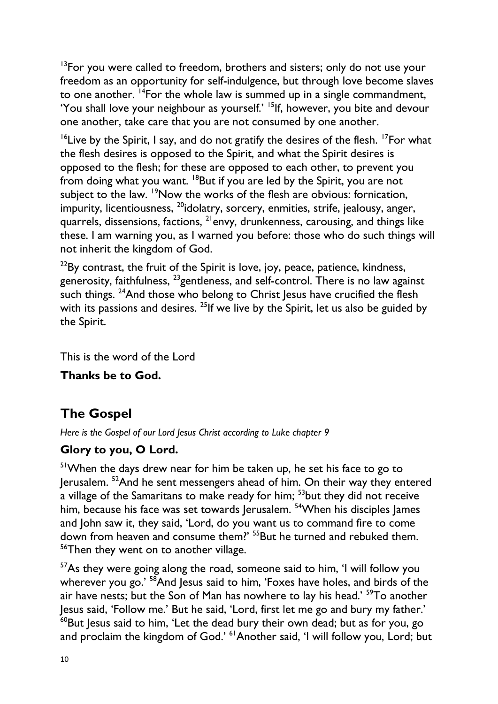<sup>13</sup>For you were called to freedom, brothers and sisters; only do not use your freedom as an opportunity for self-indulgence, but through love become slaves to one another.  $14$ For the whole law is summed up in a single commandment, 'You shall love your neighbour as yourself.' <sup>15</sup>If, however, you bite and devour one another, take care that you are not consumed by one another.

<sup>16</sup>Live by the Spirit, I say, and do not gratify the desires of the flesh. <sup>17</sup>For what the flesh desires is opposed to the Spirit, and what the Spirit desires is opposed to the flesh; for these are opposed to each other, to prevent you from doing what you want. <sup>18</sup>But if you are led by the Spirit, you are not subject to the law. <sup>19</sup>Now the works of the flesh are obvious: fornication, impurity, licentiousness, <sup>20</sup>idolatry, sorcery, enmities, strife, jealousy, anger, quarrels, dissensions, factions, <sup>21</sup>envy, drunkenness, carousing, and things like these. I am warning you, as I warned you before: those who do such things will not inherit the kingdom of God.

 $22$ By contrast, the fruit of the Spirit is love, joy, peace, patience, kindness, generosity, faithfulness, <sup>23</sup>gentleness, and self-control. There is no law against such things. <sup>24</sup>And those who belong to Christ Jesus have crucified the flesh with its passions and desires. <sup>25</sup>If we live by the Spirit, let us also be guided by the Spirit.

This is the word of the Lord

**Thanks be to God.**

# **The Gospel**

*Here is the Gospel of our Lord Jesus Christ according to Luke chapter 9*

#### **Glory to you, O Lord.**

<sup>51</sup>When the days drew near for him be taken up, he set his face to go to Jerusalem. <sup>52</sup>And he sent messengers ahead of him. On their way they entered a village of the Samaritans to make ready for him; <sup>53</sup>but they did not receive him, because his face was set towards Jerusalem. <sup>54</sup>When his disciples James and John saw it, they said, 'Lord, do you want us to command fire to come down from heaven and consume them?' <sup>55</sup>But he turned and rebuked them. <sup>56</sup>Then they went on to another village.

<sup>57</sup>As they were going along the road, someone said to him, 'I will follow you wherever you go.' <sup>58</sup>And Jesus said to him, 'Foxes have holes, and birds of the air have nests; but the Son of Man has nowhere to lay his head.' <sup>59</sup>To another Jesus said, 'Follow me.' But he said, 'Lord, first let me go and bury my father.'  $60$ But Jesus said to him, 'Let the dead bury their own dead; but as for you, go and proclaim the kingdom of God.' <sup>61</sup>Another said, 'I will follow you, Lord; but